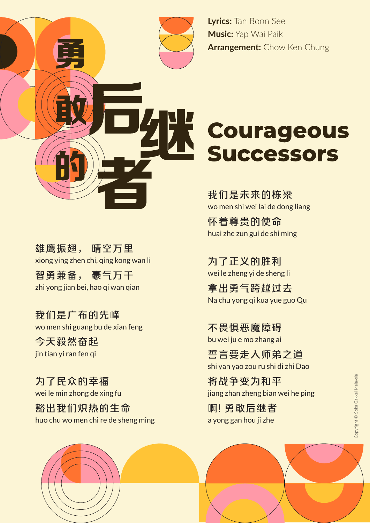

**Lyrics:** Tan Boon See **Music:** Yap Wai Paik **Arrangement:** Chow Ken Chung

## **Courageous Successors**

我们是未来的栋梁 wo men shi wei lai de dong liang

怀着尊贵的使命 huai zhe zun gui de shi ming

为了正义的胜利 wei le zheng yi de sheng li

拿出勇气跨越过去 Na chu yong qi kua yue guo Qu

不畏惧恶魔障碍 bu wei ju e mo zhang ai

誓言要走入师弟之道 shi yan yao zou ru shi di zhi Dao

将战争变为和平 jiang zhan zheng bian wei he ping

啊! 勇敢后继者 a yong gan hou ji zhe

雄鹰振翅, 晴空万里 xiong ying zhen chi, qing kong wan li

智勇兼备, 豪气万千 zhi yong jian bei, hao qi wan qian

我们是广布的先峰 wo men shi guang bu de xian feng

今天毅然奋起 jin tian yi ran fen qi

为了民众的幸福 wei le min zhong de xing fu

豁出我们炽热的生命 huo chu wo men chi re de sheng ming Copyright © Soka Gakkai Malaysia Copyright ©️ Soka Gakkai Malaysia